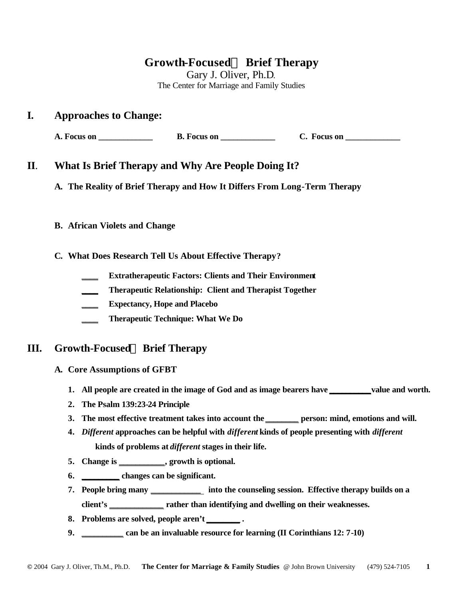# **Growth-FocusedÔ Brief Therapy**

Gary J. Oliver, Ph.D. The Center for Marriage and Family Studies

## **I. Approaches to Change:**

**A. Focus on \_\_\_\_\_\_\_\_\_\_\_\_\_\_\_\_ B. Focus on \_\_\_\_\_\_\_\_\_\_\_\_\_\_\_ C. Focus on \_\_\_\_\_\_\_\_\_\_** 

## **II**. **What Is Brief Therapy and Why Are People Doing It?**

**A. The Reality of Brief Therapy and How It Differs From Long-Term Therapy**

### **B. African Violets and Change**

**C. What Does Research Tell Us About Effective Therapy?**

- **\_\_\_\_ Extratherapeutic Factors: Clients and Their Environment**
- **\_\_\_\_ Therapeutic Relationship: Client and Therapist Together**
- **\_\_\_\_ Expectancy, Hope and Placebo**
- **\_\_\_\_ Therapeutic Technique: What We Do**

# **III. Growth-FocusedÔ Brief Therapy**

- **A. Core Assumptions of GFBT**
	- **1. All people are created in the image of God and as image bearers have \_\_\_\_\_\_\_\_\_\_value and worth.**
	- **2. The Psalm 139:23-24 Principle**
	- **3. The most effective treatment takes into account the \_\_\_\_\_\_\_\_ person: mind, emotions and will.**
	- **4.** *Different* **approaches can be helpful with** *different* **kinds of people presenting with** *different*  **kinds of problems at** *different* **stages in their life.**
	- **5. Change is \_\_\_\_\_\_\_\_\_\_\_, growth is optional.**
	- **6. \_\_\_\_\_\_\_\_\_ changes can be significant.**
	- **7. People bring many \_\_\_\_\_\_\_\_\_\_\_\_ into the counseling session. Effective therapy builds on a client's \_\_\_\_\_\_\_\_\_\_\_\_\_ rather than identifying and dwelling on their weaknesses.**
	- **8. Problems are solved, people aren't \_\_\_\_\_\_\_\_ .**
	- **9. \_\_\_\_\_\_\_\_\_\_ can be an invaluable resource for learning (II Corinthians 12: 7-10)**